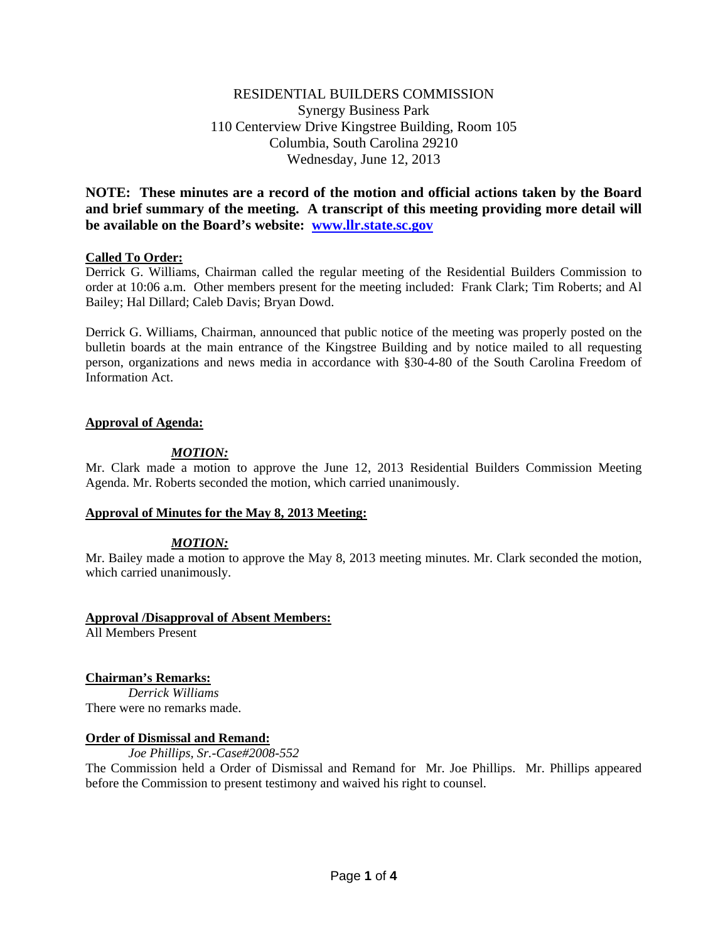# RESIDENTIAL BUILDERS COMMISSION Synergy Business Park 110 Centerview Drive Kingstree Building, Room 105 Columbia, South Carolina 29210 Wednesday, June 12, 2013

**NOTE: These minutes are a record of the motion and official actions taken by the Board and brief summary of the meeting. A transcript of this meeting providing more detail will be available on the Board's website: [www.llr.state.sc.gov](http://www.llr.state.sc.gov/)**

## **Called To Order:**

Derrick G. Williams, Chairman called the regular meeting of the Residential Builders Commission to order at 10:06 a.m. Other members present for the meeting included: Frank Clark; Tim Roberts; and Al Bailey; Hal Dillard; Caleb Davis; Bryan Dowd.

Derrick G. Williams, Chairman, announced that public notice of the meeting was properly posted on the bulletin boards at the main entrance of the Kingstree Building and by notice mailed to all requesting person, organizations and news media in accordance with §30-4-80 of the South Carolina Freedom of Information Act.

## **Approval of Agenda:**

## *MOTION:*

Mr. Clark made a motion to approve the June 12, 2013 Residential Builders Commission Meeting Agenda. Mr. Roberts seconded the motion, which carried unanimously.

## **Approval of Minutes for the May 8, 2013 Meeting:**

# *MOTION:*

Mr. Bailey made a motion to approve the May 8, 2013 meeting minutes. Mr. Clark seconded the motion, which carried unanimously.

## **Approval /Disapproval of Absent Members:**

All Members Present

# **Chairman's Remarks:**

*Derrick Williams* There were no remarks made.

## **Order of Dismissal and Remand:**

*Joe Phillips, Sr.-Case#2008-552*

The Commission held a Order of Dismissal and Remand for Mr. Joe Phillips. Mr. Phillips appeared before the Commission to present testimony and waived his right to counsel.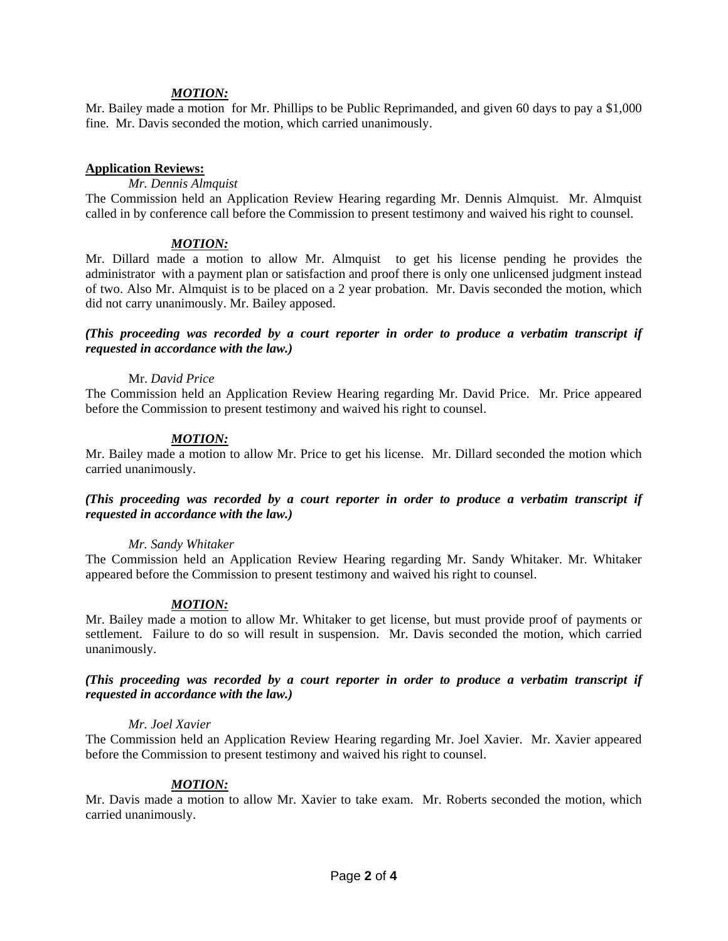### *MOTION:*

Mr. Bailey made a motion for Mr. Phillips to be Public Reprimanded, and given 60 days to pay a \$1,000 fine. Mr. Davis seconded the motion, which carried unanimously.

#### **Application Reviews:**

## *Mr. Dennis Almquist*

The Commission held an Application Review Hearing regarding Mr. Dennis Almquist. Mr. Almquist called in by conference call before the Commission to present testimony and waived his right to counsel.

## *MOTION:*

Mr. Dillard made a motion to allow Mr. Almquist to get his license pending he provides the administrator with a payment plan or satisfaction and proof there is only one unlicensed judgment instead of two. Also Mr. Almquist is to be placed on a 2 year probation. Mr. Davis seconded the motion, which did not carry unanimously. Mr. Bailey apposed.

## *(This proceeding was recorded by a court reporter in order to produce a verbatim transcript if requested in accordance with the law.)*

#### Mr. *David Price*

The Commission held an Application Review Hearing regarding Mr. David Price. Mr. Price appeared before the Commission to present testimony and waived his right to counsel.

#### *MOTION:*

Mr. Bailey made a motion to allow Mr. Price to get his license. Mr. Dillard seconded the motion which carried unanimously.

## *(This proceeding was recorded by a court reporter in order to produce a verbatim transcript if requested in accordance with the law.)*

#### *Mr. Sandy Whitaker*

The Commission held an Application Review Hearing regarding Mr. Sandy Whitaker. Mr. Whitaker appeared before the Commission to present testimony and waived his right to counsel.

## *MOTION:*

Mr. Bailey made a motion to allow Mr. Whitaker to get license, but must provide proof of payments or settlement. Failure to do so will result in suspension. Mr. Davis seconded the motion, which carried unanimously.

## *(This proceeding was recorded by a court reporter in order to produce a verbatim transcript if requested in accordance with the law.)*

#### *Mr. Joel Xavier*

The Commission held an Application Review Hearing regarding Mr. Joel Xavier. Mr. Xavier appeared before the Commission to present testimony and waived his right to counsel.

## *MOTION:*

Mr. Davis made a motion to allow Mr. Xavier to take exam. Mr. Roberts seconded the motion, which carried unanimously.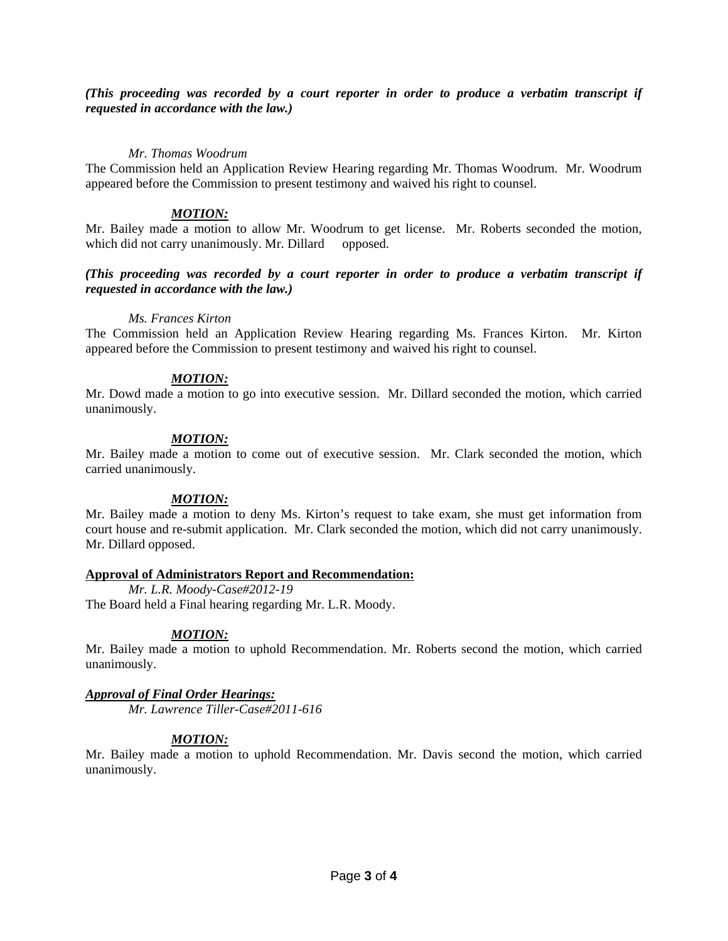*(This proceeding was recorded by a court reporter in order to produce a verbatim transcript if requested in accordance with the law.)*

### *Mr. Thomas Woodrum*

The Commission held an Application Review Hearing regarding Mr. Thomas Woodrum. Mr. Woodrum appeared before the Commission to present testimony and waived his right to counsel.

### *MOTION:*

Mr. Bailey made a motion to allow Mr. Woodrum to get license. Mr. Roberts seconded the motion, which did not carry unanimously. Mr. Dillard opposed.

## *(This proceeding was recorded by a court reporter in order to produce a verbatim transcript if requested in accordance with the law.)*

#### *Ms. Frances Kirton*

The Commission held an Application Review Hearing regarding Ms. Frances Kirton. Mr. Kirton appeared before the Commission to present testimony and waived his right to counsel.

## *MOTION:*

Mr. Dowd made a motion to go into executive session. Mr. Dillard seconded the motion, which carried unanimously.

# *MOTION:*

Mr. Bailey made a motion to come out of executive session. Mr. Clark seconded the motion, which carried unanimously.

## *MOTION:*

Mr. Bailey made a motion to deny Ms. Kirton's request to take exam, she must get information from court house and re-submit application. Mr. Clark seconded the motion, which did not carry unanimously. Mr. Dillard opposed.

## **Approval of Administrators Report and Recommendation:**

*Mr. L.R. Moody-Case#2012-19* The Board held a Final hearing regarding Mr. L.R. Moody.

## *MOTION:*

Mr. Bailey made a motion to uphold Recommendation. Mr. Roberts second the motion, which carried unanimously.

# *Approval of Final Order Hearings:*

*Mr. Lawrence Tiller-Case#2011-616*

## *MOTION:*

Mr. Bailey made a motion to uphold Recommendation. Mr. Davis second the motion, which carried unanimously.